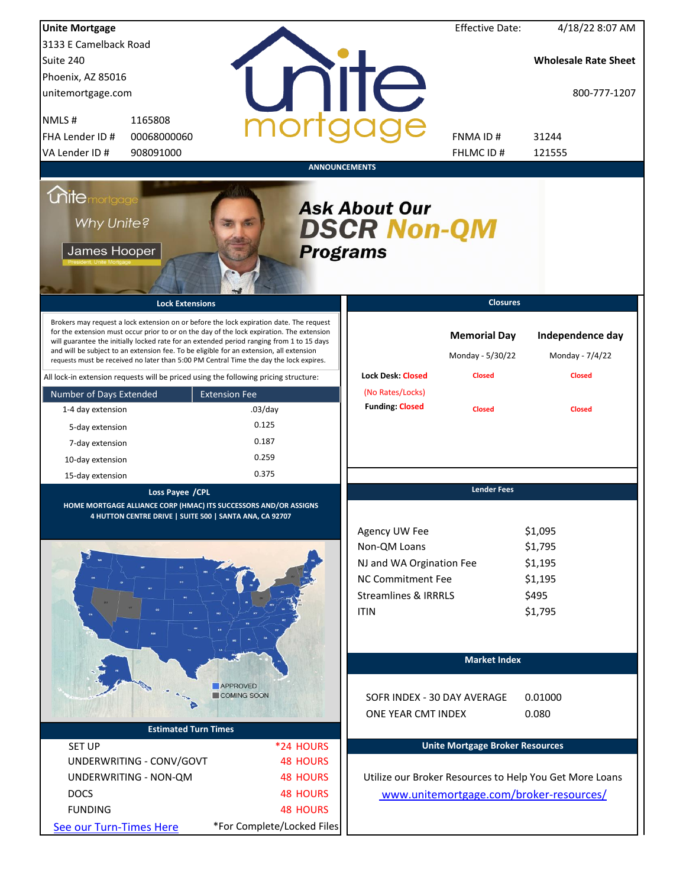| <b>Unite Mortgage</b>                                                                |                                                                                                                                                                                                                                                                                                                                                                                                                                                                        |                            |                                                                                                                                         | <b>Effective Date:</b>                  | 4/18/22 8:07 AM                                              |
|--------------------------------------------------------------------------------------|------------------------------------------------------------------------------------------------------------------------------------------------------------------------------------------------------------------------------------------------------------------------------------------------------------------------------------------------------------------------------------------------------------------------------------------------------------------------|----------------------------|-----------------------------------------------------------------------------------------------------------------------------------------|-----------------------------------------|--------------------------------------------------------------|
| 3133 E Camelback Road                                                                |                                                                                                                                                                                                                                                                                                                                                                                                                                                                        |                            |                                                                                                                                         |                                         |                                                              |
| Suite 240                                                                            |                                                                                                                                                                                                                                                                                                                                                                                                                                                                        |                            |                                                                                                                                         |                                         | <b>Wholesale Rate Sheet</b>                                  |
| Phoenix, AZ 85016                                                                    |                                                                                                                                                                                                                                                                                                                                                                                                                                                                        |                            |                                                                                                                                         |                                         |                                                              |
| unitemortgage.com                                                                    |                                                                                                                                                                                                                                                                                                                                                                                                                                                                        |                            | nite                                                                                                                                    |                                         | 800-777-1207                                                 |
| NMLS#<br>1165808                                                                     |                                                                                                                                                                                                                                                                                                                                                                                                                                                                        |                            |                                                                                                                                         |                                         |                                                              |
| FHA Lender ID #                                                                      | 00068000060                                                                                                                                                                                                                                                                                                                                                                                                                                                            |                            |                                                                                                                                         | <b>FNMAID#</b>                          | 31244                                                        |
| VA Lender ID #<br>908091000                                                          |                                                                                                                                                                                                                                                                                                                                                                                                                                                                        |                            |                                                                                                                                         | FHLMC ID#                               | 121555                                                       |
|                                                                                      |                                                                                                                                                                                                                                                                                                                                                                                                                                                                        | <b>ANNOUNCEMENTS</b>       |                                                                                                                                         |                                         |                                                              |
| <i><u><b>Chitemortgage</b></u></i><br>Why Unite?<br>James Hooper                     |                                                                                                                                                                                                                                                                                                                                                                                                                                                                        | <b>Programs</b>            | <b>Ask About Our</b><br><b>DSCR Non-QM</b>                                                                                              |                                         |                                                              |
|                                                                                      | <b>Lock Extensions</b>                                                                                                                                                                                                                                                                                                                                                                                                                                                 |                            |                                                                                                                                         | <b>Closures</b>                         |                                                              |
|                                                                                      | Brokers may request a lock extension on or before the lock expiration date. The request<br>for the extension must occur prior to or on the day of the lock expiration. The extension<br>will guarantee the initially locked rate for an extended period ranging from 1 to 15 days<br>and will be subject to an extension fee. To be eligible for an extension, all extension<br>requests must be received no later than 5:00 PM Central Time the day the lock expires. |                            |                                                                                                                                         | <b>Memorial Day</b><br>Monday - 5/30/22 | Independence day<br>Monday - 7/4/22                          |
| All lock-in extension requests will be priced using the following pricing structure: |                                                                                                                                                                                                                                                                                                                                                                                                                                                                        |                            | <b>Lock Desk: Closed</b>                                                                                                                | <b>Closed</b>                           | <b>Closed</b>                                                |
| Number of Days Extended                                                              | <b>Extension Fee</b>                                                                                                                                                                                                                                                                                                                                                                                                                                                   |                            | (No Rates/Locks)                                                                                                                        |                                         |                                                              |
| 1-4 day extension                                                                    | $.03$ /day                                                                                                                                                                                                                                                                                                                                                                                                                                                             |                            | <b>Funding: Closed</b>                                                                                                                  | <b>Closed</b>                           | <b>Closed</b>                                                |
| 5-day extension                                                                      | 0.125                                                                                                                                                                                                                                                                                                                                                                                                                                                                  |                            |                                                                                                                                         |                                         |                                                              |
| 7-day extension                                                                      | 0.187                                                                                                                                                                                                                                                                                                                                                                                                                                                                  |                            |                                                                                                                                         |                                         |                                                              |
| 10-day extension                                                                     | 0.259                                                                                                                                                                                                                                                                                                                                                                                                                                                                  |                            |                                                                                                                                         |                                         |                                                              |
| 15-day extension                                                                     | 0.375                                                                                                                                                                                                                                                                                                                                                                                                                                                                  |                            |                                                                                                                                         |                                         |                                                              |
|                                                                                      | Loss Payee / CPL<br>HOME MORTGAGE ALLIANCE CORP (HMAC) ITS SUCCESSORS AND/OR ASSIGNS<br>4 HUTTON CENTRE DRIVE   SUITE 500   SANTA ANA, CA 92707                                                                                                                                                                                                                                                                                                                        |                            | Agency UW Fee<br>Non-QM Loans<br>NJ and WA Orgination Fee<br><b>NC Commitment Fee</b><br><b>Streamlines &amp; IRRRLS</b><br><b>ITIN</b> | <b>Lender Fees</b>                      | \$1,095<br>\$1,795<br>\$1,195<br>\$1,195<br>\$495<br>\$1,795 |
|                                                                                      | <b>APPROVED</b>                                                                                                                                                                                                                                                                                                                                                                                                                                                        |                            |                                                                                                                                         | <b>Market Index</b>                     |                                                              |
|                                                                                      | COMING SOON                                                                                                                                                                                                                                                                                                                                                                                                                                                            |                            | SOFR INDEX - 30 DAY AVERAGE                                                                                                             |                                         | 0.01000                                                      |
|                                                                                      |                                                                                                                                                                                                                                                                                                                                                                                                                                                                        |                            | ONE YEAR CMT INDEX                                                                                                                      |                                         | 0.080                                                        |
|                                                                                      | <b>Estimated Turn Times</b>                                                                                                                                                                                                                                                                                                                                                                                                                                            |                            |                                                                                                                                         |                                         |                                                              |
| <b>SET UP</b>                                                                        |                                                                                                                                                                                                                                                                                                                                                                                                                                                                        | *24 HOURS                  |                                                                                                                                         | <b>Unite Mortgage Broker Resources</b>  |                                                              |
| UNDERWRITING - CONV/GOVT                                                             |                                                                                                                                                                                                                                                                                                                                                                                                                                                                        | <b>48 HOURS</b>            |                                                                                                                                         |                                         |                                                              |
| UNDERWRITING - NON-QM                                                                |                                                                                                                                                                                                                                                                                                                                                                                                                                                                        | <b>48 HOURS</b>            |                                                                                                                                         |                                         | Utilize our Broker Resources to Help You Get More Loans      |
| <b>DOCS</b>                                                                          |                                                                                                                                                                                                                                                                                                                                                                                                                                                                        | <b>48 HOURS</b>            |                                                                                                                                         |                                         | www.unitemortgage.com/broker-resources/                      |
| <b>FUNDING</b>                                                                       |                                                                                                                                                                                                                                                                                                                                                                                                                                                                        | <b>48 HOURS</b>            |                                                                                                                                         |                                         |                                                              |
| See our Turn-Times Here                                                              |                                                                                                                                                                                                                                                                                                                                                                                                                                                                        | *For Complete/Locked Files |                                                                                                                                         |                                         |                                                              |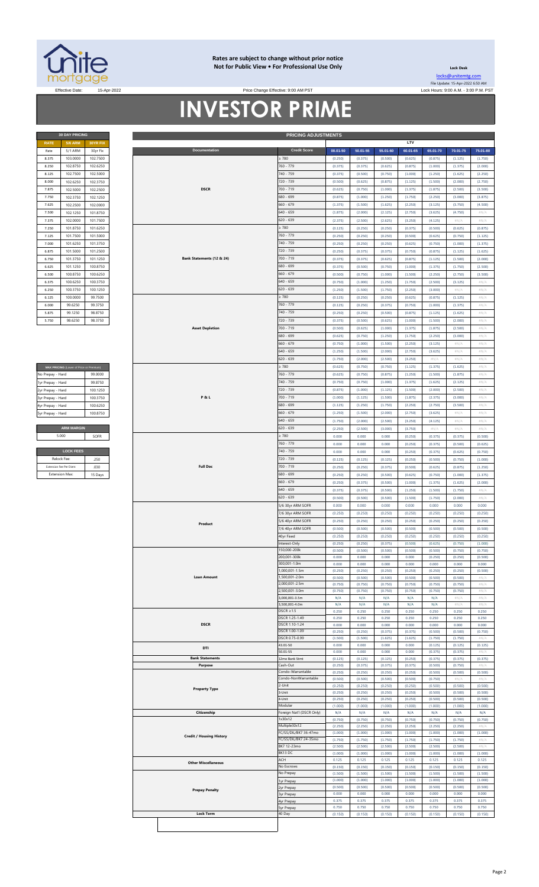

#### **Rates are subject to change without prior notice Not for Public View • For Professional Use Only**

**30 DAY PRICING PRICING ADJUSTMENTS**

**Lock Desk** [locks@unitemtg](mailto:locks@unitemtg.com).com File Update: 15-Apr-2022 6:50 AM

#### Effective Date: 15-Apr-2022 Lock Hours: 9:00 A.M. - 3:00 P.M. PST **INVESTOR PRIME** Price Change Effective: 9:00 AM PST

| <b>30 DAY PRICING</b> |                |                 |  |  |  |  |
|-----------------------|----------------|-----------------|--|--|--|--|
| <b>RATE</b>           | <b>5/6 ARM</b> | <b>30YR FIX</b> |  |  |  |  |
| Rate                  | 5/1 ARM        | 30yr Fix        |  |  |  |  |
| 8.375                 | 103.0000       | 102.7500        |  |  |  |  |
| 8.250                 | 102.8750       | 102.6250        |  |  |  |  |
| 8.125                 | 102.7500       | 102.5000        |  |  |  |  |
| 8.000                 | 102.6250       | 102.3750        |  |  |  |  |
| 7.875                 | 102.5000       | 102.2500        |  |  |  |  |
| 7.750                 | 102.3750       | 102.1250        |  |  |  |  |
| 7.625                 | 102.2500       | 102.0000        |  |  |  |  |
| 7.500                 | 102.1250       | 101.8750        |  |  |  |  |
| 7.375                 | 102.0000       | 101.7500        |  |  |  |  |
| 7.250                 | 101.8750       | 101.6250        |  |  |  |  |
| 7.125                 | 101.7500       | 101.5000        |  |  |  |  |
| 7.000                 | 101.6250       | 101.3750        |  |  |  |  |
| 6.875                 | 101.5000       | 101.2500        |  |  |  |  |
| 6.750                 | 101.3750       | 101.1250        |  |  |  |  |
| 6.625                 | 101.1250       | 100.8750        |  |  |  |  |
| 6.500                 | 100.8750       | 100.6250        |  |  |  |  |
| 6.375                 | 100.6250       | 100.3750        |  |  |  |  |
| 6.250                 | 100.3750       | 100.1250        |  |  |  |  |
| 6.125                 | 100,0000       | 99.7500         |  |  |  |  |
| 6.000                 | 99.6250        | 99.3750         |  |  |  |  |
| 5.875                 | 99.1250        | 98.8750         |  |  |  |  |
| 5.750                 | 98.6250        | 98.3750         |  |  |  |  |

| MAX PRICING (Lower of Price or Premium) |                   |  |  |  |  |  |
|-----------------------------------------|-------------------|--|--|--|--|--|
| No Prepay - Hard                        | 99.0000           |  |  |  |  |  |
| 1yr Prepay - Hard                       | 99 8750           |  |  |  |  |  |
| 2yr Prepay - Hard                       | 100 1250          |  |  |  |  |  |
| 3yr Prepay - Hard                       | 100 3750          |  |  |  |  |  |
| 4yr Prepay - Hard                       | 100 6250          |  |  |  |  |  |
| 5yr Prepay - Hard                       | 100.8750          |  |  |  |  |  |
|                                         |                   |  |  |  |  |  |
|                                         | <b>ARM MARGIN</b> |  |  |  |  |  |
| 5.000                                   | SOFR              |  |  |  |  |  |

| <b>LOCK FEES</b>        |         |  |  |  |  |  |
|-------------------------|---------|--|--|--|--|--|
| Relock Fee:             | .250    |  |  |  |  |  |
| Extension Fee Per Diem: | 030     |  |  |  |  |  |
| <b>Extension Max:</b>   | 15 Days |  |  |  |  |  |

| <b>RATE</b>       | <b>5/6 ARM</b>                          | 30YR FIX |  |                                 |                            |                    |                    |                    | LTV                |                    |                            |                   |
|-------------------|-----------------------------------------|----------|--|---------------------------------|----------------------------|--------------------|--------------------|--------------------|--------------------|--------------------|----------------------------|-------------------|
| Rate              | 5/1 ARM                                 | 30yr Fix |  | Documentation                   | <b>Credit Score</b>        | 00.01-50           | 50.01-55           | 55.01-60           | 60.01-65           | 65.01-70           | 70.01-75                   | 75.01-80          |
| 8.375             | 103.0000                                | 102.7500 |  |                                 | $\geq 780$                 | (0.250)            | (0.375)            | (0.500)            | (0.625)            | (0.875)            | (1.125)                    | (1.750)           |
| 8.250             | 102.8750                                | 102.6250 |  |                                 | 760 - 779                  | (0.375)            | (0.375)            | (0.625)            | (0.875)            | (1.000)            | (1.375)                    | (2.000)           |
| 8.125             | 102.7500                                | 102.5000 |  |                                 | 740 - 759                  |                    | (0.500)            | (0.750)            | (1.000)            | (1.250)            | (1.625)                    |                   |
|                   |                                         |          |  |                                 |                            | (0.375)            |                    |                    |                    |                    |                            | (2.250)           |
| 8.000             | 102.6250                                | 102.3750 |  |                                 | 720 - 739                  | (0.500)            | (0.625)            | (0.875)            | (1.125)            | (1.500)            | (2.000)                    | (2.750)           |
| 7.875             | 102.5000                                | 102.2500 |  | <b>DSCR</b>                     | 700 - 719                  | (0.625)            | (0.750)            | (1.000)            | (1.375)            | (1.875)            | (2.500)                    | (3.500)           |
| 7.750             | 102.3750                                | 102.1250 |  |                                 | 680 - 699                  | (0.875)            | (1.000)            | (1.250)            | (1.750)            | (2.250)            | (3.000)                    | (3.875)           |
| 7.625             | 102.2500                                | 102.0000 |  |                                 | $660 - 679$                | (1.375)            | (1.500)            | (1.625)            | (2.250)            | (3.125)            | (3.750)                    | (4.500)           |
| 7.500             | 102.1250                                | 101.8750 |  |                                 | $640 - 659$                | (1.875)            | (2.000)            | (2.125)            | (2.750)            | (3.625)            | (4.750)                    | $\#N/A$           |
| 7.375             | 102.0000                                | 101.7500 |  |                                 | 620 - 639                  | (2.375)            | (2.500)            | (2.625)            | (3.250)            | (4.125)            | #N/A                       | #N/A              |
| 7.250             | 101.8750                                | 101.6250 |  |                                 | $\geq 780$                 | (0.125)            | (0.250)            | (0.250)            | (0.375)            | (0.500)            | (0.625)                    | (0.875)           |
|                   |                                         |          |  |                                 |                            |                    |                    |                    |                    |                    |                            |                   |
| 7.125             | 101.7500                                | 101.5000 |  |                                 | 760 - 779                  | (0.250)            | (0.250)            | (0.250)            | (0.500)            | (0.625)            | (0.750)                    | (1.125)           |
| 7.000             | 101.6250                                | 101.3750 |  |                                 | 740 - 759                  | (0.250)            | (0.250)            | (0.250)            | (0.625)            | (0.750)            | (1.000)                    | (1.375)           |
| 6.875             | 101.5000                                | 101.2500 |  |                                 | 720 - 739                  | (0.250)            | (0.375)            | (0.375)            | (0.750)            | (0.875)            | (1.125)                    | (1.625)           |
| 6.750             | 101.3750                                | 101.1250 |  | Bank Statements (12 & 24)       | 700 - 719                  | (0.375)            | (0.375)            | (0.625)            | (0.875)            | (1.125)            | (1.500)                    | (2.000)           |
| 6.625             | 101.1250                                | 100.8750 |  |                                 | 680 - 699                  | (0.375)            | (0.500)            | (0.750)            | (1.000)            | (1.375)            | (1.750)                    | (2.500)           |
| 6.500             | 100.8750                                | 100.6250 |  |                                 | $660 - 679$                | (0.500)            | (0.750)            | (1.000)            | (1.500)            | (2.250)            | (2.750)                    | (3.500)           |
| 6.375             | 100.6250                                | 100.3750 |  |                                 | $640 - 659$                | (0.750)            | (1.000)            | (1.250)            | (1.750)            | (2.500)            | (3.125)                    | $\#N/A$           |
| 6.250             | 100.3750                                | 100.1250 |  |                                 | $620 - 639$                | (1.250)            | (1.500)            | (1.750)            | (2.250)            | (3.000)            | #N/A                       | $\#N/A$           |
|                   |                                         |          |  |                                 | $\geq 780$                 |                    |                    |                    |                    |                    |                            |                   |
| 6.125             | 100.0000                                | 99.7500  |  |                                 |                            | (0.125)            | (0.250)            | (0.250)            | (0.625)            | (0.875)            | (1.125)                    | $\#N/A$           |
| 6.000             | 99.6250                                 | 99.3750  |  |                                 | 760 - 779                  | (0.125)            | (0.250)            | (0.375)            | (0.750)            | (1.000)            | (1.375)                    | $\#N/A$           |
| 5.875             | 99.1250                                 | 98.8750  |  |                                 | 740 - 759                  | (0.250)            | (0.250)            | (0.500)            | (0.875)            | (1.125)            | (1.625)                    | #N/A              |
| 5.750             | 98.6250                                 | 98.3750  |  |                                 | 720 - 739                  | (0.375)            | (0.500)            | (0.625)            | (1.000)            | (1.500)            | (2.000)                    | #N/A              |
|                   |                                         |          |  | <b>Asset Depletion</b>          | 700 - 719                  | (0.500)            | (0.625)            | (1.000)            | (1.375)            | (1.875)            | (2.500)                    | #N/A              |
|                   |                                         |          |  |                                 | 680 - 699                  | (0.625)            | (0.750)            | (1.250)            | (1.750)            | (2.250)            | (3.000)                    | #N/A              |
|                   |                                         |          |  |                                 | 660 - 679                  | (0.750)            | (1.000)            | (1.500)            | (2.250)            | (3.125)            | #N//                       | #N/A              |
|                   |                                         |          |  |                                 | $640 - 659$                | (1.250)            | (1.500)            | (2.000)            | (2.750)            | (3.625)            | $\# \mathbb{N}/\mathbb{A}$ | #N/A              |
|                   |                                         |          |  |                                 | $620 - 639$                | (1.750)            | (2.000)            | (2.500)            | (3.250)            | $\#N/A$            | #N/A                       | $\#N/A$           |
|                   |                                         |          |  |                                 | $\geq 780$                 |                    |                    |                    |                    |                    |                            | #N/A              |
|                   | MAX PRICING (Lower of Price or Premium) |          |  |                                 |                            | (0.625)            | (0.750)            | (0.750)            | (1.125)            | (1.375)            | (1.625)                    |                   |
| No Prepay - Hard  |                                         | 99.0000  |  |                                 | 760 - 779                  | (0.625)            | (0.750)            | (0.875)            | (1.250)            | (1.500)            | (1.875)                    | #N/A              |
| 1yr Prepay - Hard |                                         | 99.8750  |  |                                 | 740 - 759                  | (0.750)            | (0.750)            | (1.000)            | (1.375)            | (1.625)            | (2.125)                    | $\#N/A$           |
| 2yr Prepay - Hard |                                         | 100.1250 |  |                                 | 720 - 739                  | (0.875)            | (1.000)            | (1.125)            | (1.500)            | (2.000)            | (2.500)                    | $\#N/A$           |
| 3yr Prepay - Hard |                                         | 100.3750 |  | <b>P&amp;L</b>                  | 700 - 719                  | (1.000)            | (1.125)            | (1.500)            | (1.875)            | (2.375)            | (3.000)                    | $\#N/A$           |
| 4yr Prepay - Hard |                                         | 100.6250 |  |                                 | 680 - 699                  | (1.125)            | (1.250)            | (1.750)            | (2.250)            | (2.750)            | (3.500)                    | #N/A              |
| Syr Prepay - Hard |                                         | 100.8750 |  |                                 | $660 - 679$                | (1.250)            | (1.500)            | (2.000)            | (2.750)            | (3.625)            | #N/A                       | #N/A              |
|                   |                                         |          |  |                                 | 640 - 659                  | (1.750)            | (2.000)            | (2.500)            | (3.250)            | (4.125)            | #N/A                       | #N/A              |
|                   | <b>ARM MARGIN</b>                       |          |  |                                 | 620 - 639                  |                    |                    |                    |                    |                    |                            |                   |
|                   |                                         |          |  |                                 |                            | (2.250)            | (2.500)            | (3.000)            | (3.750)            | #N/A               | #N/A                       | #N/A              |
|                   | 5.000                                   | SOFR     |  |                                 | $\geq 780$                 | 0.000              | 0.000              | 0.000              | (0.250)            | (0.375)            | (0.375)                    | (0.500)           |
|                   |                                         |          |  |                                 | 760 - 779                  | 0.000              | 0.000              | 0.000              | (0.250)            | (0.375)            | (0.500)                    | (0.625)           |
|                   | <b>LOCK FEES</b>                        |          |  |                                 | 740 - 759                  | 0.000              | 0.000              | 0.000              | (0.250)            | (0.375)            | (0.625)                    | (0.750)           |
|                   | Relock Fee:                             | .250     |  |                                 | 720 - 739                  | (0.125)            | (0.125)            | (0.125)            | (0.250)            | (0.500)            | (0.750)                    | (1.000)           |
|                   | Extension Fee Per Diem:                 | .030     |  | <b>Full Doc</b>                 | 700 - 719                  | (0.250)            | (0.250)            | (0.375)            | (0.500)            | (0.625)            | (0.875)                    | (1.250)           |
|                   | <b>Extension Max:</b>                   | 15 Days  |  |                                 | 680 - 699                  | (0.250)            | (0.250)            | (0.500)            | (0.625)            | (0.750)            | (1.000)                    | (1.375)           |
|                   |                                         |          |  |                                 | $660 - 679$                | (0.250)            | (0.375)            | (0.500)            | (1.000)            | (1.375)            | (1.625)                    | (2.000)           |
|                   |                                         |          |  |                                 | $640 - 659$                | (0.375)            | (0.375)            | (0.500)            | (1.250)            | (1.500)            | (1.750)                    | $\#N/A$           |
|                   |                                         |          |  |                                 |                            |                    |                    |                    |                    |                    |                            |                   |
|                   |                                         |          |  |                                 | $620 - 639$                | (0.500)            | (0.500)            | (0.500)            | (1.500)            | (1.750)            | (2.000)                    | $\#N/A$           |
|                   |                                         |          |  |                                 | 5/6 30yr ARM SOFR          | 0.000              | 0.000              | 0.000              | 0.000              | 0.000              | 0.000                      | 0.000             |
|                   |                                         |          |  |                                 | 7/6 30yr ARM SOFR          | (0.250)            | (0.250)            | (0.250)            | (0.250)            | (0.250)            | (0.250)                    | (0.250)           |
|                   |                                         |          |  | Product                         | 5/6 40yr ARM SOFR          | (0.250)            | (0.250)            | (0.250)            | (0.250)            | (0.250)            | (0.250)                    | (0.250)           |
|                   |                                         |          |  |                                 | 7/6 40yr ARM SOFR          | (0.500)            | (0.500)            | (0.500)            | (0.500)            | (0.500)            | (0.500)                    | (0.500)           |
|                   |                                         |          |  |                                 | 40yr Fixed                 | (0.250)            | (0.250)            | (0.250)            | (0.250)            | (0.250)            | (0.250)                    | (0.250)           |
|                   |                                         |          |  |                                 | Interest-Only              | (0.250)            | (0.250)            | (0.375)            | (0.500)            | (0.625)            | (0.750)                    | (1.000)           |
|                   |                                         |          |  |                                 | 150,000-200k               | (0.500)            | (0.500)            | (0.500)            | (0.500)            | (0.500)            | (0.750)                    | (0.750)           |
|                   |                                         |          |  |                                 | 200,001-300k               | 0.000              | 0.000              | 0.000              | 0.000              | (0.250)            | (0.250)                    | (0.500)           |
|                   |                                         |          |  |                                 | 300,001-1.0m               | 0.000              | 0.000              | 0.000              | 0.000              | 0.000              | 0.000                      | 0.000             |
|                   |                                         |          |  |                                 | ,000,001-1.5m              | (0.250)            | (0.250)            | (0.250)            | (0.250)            | (0.250)            | (0.250)                    | (0.500)           |
|                   |                                         |          |  | <b>Loan Amount</b>              | ,500,001-2.0m              | (0.500)            | (0.500)            | (0.500)            | (0.500)            | (0.500)            | (0.500)                    | #N/A              |
|                   |                                         |          |  |                                 | 2,000,001-2.5m             | (0.750)            | (0.750)            | (0.750)            | (0.750)            | (0.750)            | (0.750)                    | #N/A              |
|                   |                                         |          |  |                                 | 2,500,001-3.0m             | (0.750)            | (0.750)            | (0.750)            | (0.750)            | (0.750)            | (0.750)                    | $\#N/A$           |
|                   |                                         |          |  |                                 | 000.001-3.5m               | N/A                | N/A                | N/A                | N/A                | N/A                | $\#N/F$                    | #N/F              |
|                   |                                         |          |  |                                 | 500.001-4.0m               | N/A                | N/A                | N/A                | N/A                | N/A                | $\#N/A$                    | #N/A              |
|                   |                                         |          |  |                                 | $DSCR \geq 1.5$            | 0.250              | 0.250              | 0.250              | 0.250              | 0.250              | 0.250                      | 0.250             |
|                   |                                         |          |  |                                 | DSCR 1.25-1.49             | 0.250              | 0.250              | 0.250              | 0.250              | 0.250              | 0.250                      | 0.250             |
|                   |                                         |          |  | <b>DSCR</b>                     | DSCR 1.10-1.24             | 0.000              | 0.000              | 0.000              | 0.000              | 0.000              | 0.000                      | 0.000             |
|                   |                                         |          |  |                                 | DSCR 1.00-1.09             | (0.250)            | (0.250)            | (0.375)            | (0.375)            | (0.500)            | (0.500)                    | (0.750)           |
|                   |                                         |          |  |                                 | DSCR 0.75-0.99             | (1.500)            | (1.500)            | (1.625)            | (1.625)            | (1.750)            | (1.750)                    | #N/A              |
|                   |                                         |          |  | DTI                             | 43.01-50                   | 0.000              | 0.000              | 0.000              | 0.000              | (0.125)            | (0.125)                    | (0.125)           |
|                   |                                         |          |  | <b>Bank Statements</b>          | 50.01-55                   | 0.000              | 0.000              | 0.000              | 0.000              | (0.375)            | (0.375)                    | $\#N$ /           |
|                   |                                         |          |  | Purpose                         | 12mo Bank Stmt<br>Cash-Out | (0.125)            | (0.125)            | (0.125)            | (0.250)            | (0.375)            | (0.375)                    | (0.375)<br>$\#N/$ |
|                   |                                         |          |  |                                 | Condo-Warrantable          | (0.250)<br>(0.250) | (0.375)<br>(0.250) | (0.375)<br>(0.250) | (0.375)<br>(0.250) | (0.500)<br>(0.500) | (0.750)<br>(0.500)         | (0.500)           |
|                   |                                         |          |  |                                 | Condo-NonWarrantable       | (0.500)            | (0.500)            | (0.500)            | (0.500)            | (0.750)            | #N/                        | $\#N/$            |
|                   |                                         |          |  |                                 | -Unit                      | (0.250)            | (0.250)            | (0.250)            | (0.250)            | (0.500)            | (0.500)                    | (0.500)           |
|                   |                                         |          |  | <b>Property Type</b>            | -Unit                      | (0.250)            | (0.250)            | (0.250)            | (0.250)            | (0.500)            | (0.500)                    | (0.500)           |
|                   |                                         |          |  |                                 | -Unit                      | (0.250)            | (0.250)            | (0.250)            | (0.250)            | (0.500)            | (0.500)                    | (0.500)           |
|                   |                                         |          |  |                                 | Modular                    | (1.000)            | (1.000)            | (1.000)            | (1.000)            | (1.000)            | (1.000)                    | (1.000)           |
|                   |                                         |          |  | Citizenship                     | Foreign Nat'l (DSCR Only)  | N/A                | N/A                | N/A                | N/A                | N/A                | N/A                        | N/A               |
|                   |                                         |          |  |                                 | x30x12                     | (0.750)            | (0.750)            | (0.750)            | (0.750)            | (0.750)            | (0.750)                    | (0.750)           |
|                   |                                         |          |  |                                 | Multiple30x12              | (2.250)            | (2.250)            | (2.250)            | (2.250)            | (2.250)            | (2.250)                    | $\#N/I$           |
|                   |                                         |          |  | <b>Credit / Housing History</b> |                            | (1.000)            | (1.000)            | (1.000)            | (1.000)            | (1.000)            | (1.000)                    | (1.000)           |
|                   |                                         |          |  |                                 |                            | (1.750)            | (1.750)            | (1.750)            | (1.750)            | (1.750)            | (1.750)                    | #N/               |
|                   |                                         |          |  |                                 | BK7 12-23mo                | (2.500)            | (2.500)            | (2.500)            | (2.500)            | (2.500)            | (2.500)                    | $\#N/A$           |
|                   |                                         |          |  |                                 | BK13 DC                    | (1.000)            | (1.000)            | (1.000)            | (1.000)            | (1.000)            | (1.000)                    | (1.000)           |
|                   |                                         |          |  |                                 | ACH                        | 0.125              | 0.125              | 0.125              | 0.125              | 0.125              | 0.125                      | 0.125             |
|                   |                                         |          |  | <b>Other Miscellaneous</b>      | No Escrows                 | (0.150)            | (0.150)            | (0.150)            | (0.150)            | (0.150)            | (0.150)                    | (0.150)           |
|                   |                                         |          |  |                                 | No Prepay                  | (1.500)            | (1.500)            | (1.500)            | (1.500)            | (1.500)            | (1.500)                    | (1.500)           |
|                   |                                         |          |  |                                 | lyr Prepay                 | (1.000)            | (1.000)            | (1.000)            | (1.000)            | (1.000)            | (1.000)                    | (1.000)           |
|                   |                                         |          |  | <b>Prepay Penalty</b>           | yr Prepay                  | (0.500)            | (0.500)            | (0.500)            | (0.500)            | (0.500)            | (0.500)                    | (0.500)           |
|                   |                                         |          |  |                                 | <b>Byr Prepay</b>          | 0.000              | 0.000              | 0.000              | 0.000              | 0.000              | 0.000                      | 0.000             |
|                   |                                         |          |  |                                 | 4yr Prepay                 | 0.375              | 0.375              | 0.375              | 0.375              | 0.375              | 0.375                      | 0.375             |
|                   |                                         |          |  |                                 | yr Prepay                  | 0.750              | 0.750              | 0.750              | 0.750              | 0.750              | 0.750                      | 0.750             |
|                   |                                         |          |  | <b>Lock Term</b>                | 40 Day                     | (0.150)            | (0.150)            | (0.150)            | (0.150)            | (0.150)            | (0.150)                    | (0.150)           |
|                   |                                         |          |  |                                 |                            |                    |                    |                    |                    |                    |                            |                   |
|                   |                                         |          |  |                                 |                            |                    |                    |                    |                    |                    |                            |                   |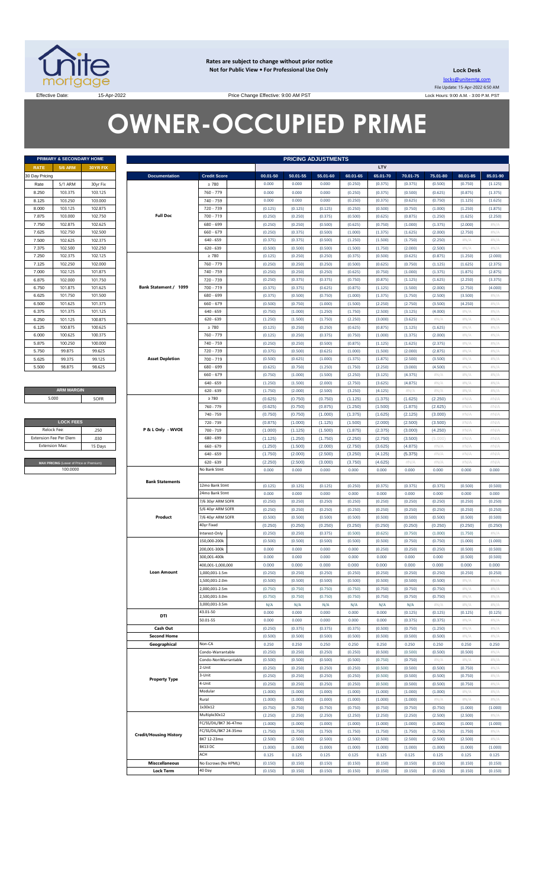

**Rates are subject to change without prior notice Not for Public View • For Professional Use Only** 

**Lock Desk** locks@unitemtg.com File Update: 15-Apr-2022 6:50 AM Lock Hours: 9:00 A.M. - 3:00 P.M. PST

Effective Date: 15-Apr-2022 15-Apr-2022 Price Change Effective: 9:00 AM PST

# **OWNER-OCCUPIED PRIME**

| <b>PRIMARY &amp; SECONDARY HOME</b> |         |                 |  |  |  |
|-------------------------------------|---------|-----------------|--|--|--|
| RATE                                | 5/6 ARM | <b>30YR FIX</b> |  |  |  |
| 30 Day Pricing                      |         |                 |  |  |  |
| Rate                                | 5/1 ARM | 30yr Fix        |  |  |  |
| 8.250                               | 103.375 | 103.125         |  |  |  |
| 8.125                               | 103.250 | 103.000         |  |  |  |
| 8.000                               | 103.125 | 102.875         |  |  |  |
| 7.875                               | 103.000 | 102.750         |  |  |  |
| 7.750                               | 102.875 | 102.625         |  |  |  |
| 7.625                               | 102.750 | 102.500         |  |  |  |
| 7.500                               | 102.625 | 102.375         |  |  |  |
| 7.375                               | 102.500 | 102.250         |  |  |  |
| 7.250                               | 102.375 | 102.125         |  |  |  |
| 7.125                               | 102.250 | 102.000         |  |  |  |
| 7.000                               | 102.125 | 101.875         |  |  |  |
| 6.875                               | 102.000 | 101.750         |  |  |  |
| 6.750                               | 101.875 | 101.625         |  |  |  |
| 6.625                               | 101.750 | 101.500         |  |  |  |
| 6.500                               | 101.625 | 101.375         |  |  |  |
| 6.375                               | 101.375 | 101.125         |  |  |  |
| 6.250                               | 101.125 | 100.875         |  |  |  |
| 6.125                               | 100.875 | 100.625         |  |  |  |
| 6.000                               | 100.625 | 100.375         |  |  |  |
| 5.875                               | 100.250 | 100.000         |  |  |  |
| 5.750                               | 99.875  | 99.625          |  |  |  |
| 5.625                               | 99.375  | 99.125          |  |  |  |
| 5.500                               | 98.875  | 98.625          |  |  |  |

#### **ARM MARGIN** 5.000

| <b>LOCK FEES</b>                        |         |  |  |  |  |
|-----------------------------------------|---------|--|--|--|--|
| Relock Fee:                             | 250     |  |  |  |  |
| <b>Extension Fee Per Diem</b>           | .030    |  |  |  |  |
| <b>Extension Max:</b>                   | 15 Days |  |  |  |  |
|                                         |         |  |  |  |  |
| MAX PRICING (Lower of Price or Premium) |         |  |  |  |  |
| 100,0000                                |         |  |  |  |  |

|                        | <b>PRIMARY &amp; SECONDARY HOME</b>     |                    |                               |                                  |                    | <b>PRICING ADJUSTMENTS</b> |                    |                    |                    |                    |                    |                    |                 |
|------------------------|-----------------------------------------|--------------------|-------------------------------|----------------------------------|--------------------|----------------------------|--------------------|--------------------|--------------------|--------------------|--------------------|--------------------|-----------------|
| <b>RATE</b>            | <b>5/6 ARM</b>                          | 30YR FIX           |                               |                                  |                    |                            |                    |                    | LTV                |                    |                    |                    |                 |
| 30 Day Pricing         |                                         |                    | <b>Documentation</b>          | <b>Credit Score</b>              | 00.01-50           | 50.01-55                   | 55.01-60           | 60.01-65           | 65.01-70           | 70.01-75           | 75.01-80           | 80.01-85           | 85.01-90        |
| Rate                   | 5/1 ARM                                 | 30yr Fix           |                               | $\geq 780$                       | 0.000              | 0.000                      | 0.000              | (0.250)            | (0.375)            | (0.375)            | (0.500)            | (0.750)            | (1.125)         |
| 8.250                  | 103.375                                 | 103.125            |                               | 760 - 779                        | 0.000              | 0.000                      | 0.000              | (0.250)            | (0.375)            | (0.500)            | (0.625)            | (0.875)            | (1.375)         |
| 8.125                  | 103.250                                 | 103.000            |                               | 740 - 759                        | 0.000              | 0.000                      | 0.000              | (0.250)            | (0.375)            | (0.625)            | (0.750)            | (1.125)            | (1.625)         |
| 8.000<br>7.875         | 103.125<br>103.000                      | 102.875<br>102.750 | <b>Full Doc</b>               | 720 - 739<br>700 - 719           | (0.125)<br>(0.250) | (0.125)<br>(0.250)         | (0.125)<br>(0.375) | (0.250)            | (0.500)            | (0.750)<br>(0.875) | (1.000)            | (1.250)<br>(1.625) | (1.875)         |
| 7.750                  | 102.875                                 | 102.625            |                               | 680 - 699                        | (0.250)            |                            | (0.500)            | (0.500)            | (0.625)            | (1.000)            | (1.250)            | (2.000)            | (2.250)         |
| 7.625                  | 102.750                                 | 102.500            |                               | $660 - 679$                      | (0.250)            | (0.250)<br>(0.375)         | (0.500)            | (0.625)            | (0.750)            | (1.625)            | (1.375)<br>(2.000) | (2.750)            | #N/A<br>$\#N/A$ |
| 7.500                  | 102.625                                 | 102.375            |                               | $640 - 659$                      | (0.375)            | (0.375)                    | (0.500)            | (1.000)<br>(1.250) | (1.375)<br>(1.500) | (1.750)            | (2.250)            | $\#N/A$            | #N/A            |
| 7.375                  | 102.500                                 | 102.250            |                               | $620 - 639$                      | (0.500)            | (0.500)                    | (0.500)            | (1.500)            | (1.750)            | (2.000)            | (2.500)            | $\#N/A$            | #N/A            |
| 7.250                  | 102.375                                 | 102.125            |                               | $\geq 780$                       | (0.125)            | (0.250)                    | (0.250)            | (0.375)            | (0.500)            | (0.625)            | (0.875)            | (1.250)            | (2.000)         |
| 7.125                  | 102.250                                 | 102.000            |                               | 760 - 779                        | (0.250)            | (0.250)                    | (0.250)            | (0.500)            | (0.625)            | (0.750)            | (1.125)            | (1.625)            | (2.375)         |
| 7.000                  | 102.125                                 | 101.875            |                               | 740 - 759                        | (0.250)            | (0.250)                    | (0.250)            | (0.625)            | (0.750)            | (1.000)            | (1.375)            | (1.875)            | (2.875)         |
| 6.875                  | 102.000                                 | 101.750            |                               | 720 - 739                        | (0.250)            | (0.375)                    | (0.375)            | (0.750)            | (0.875)            | (1.125)            | (1.625)            | (2.250)            | (3.375)         |
| 6.750                  | 101.875                                 | 101.625            | Bank Statement / 1099         | 700 - 719                        | (0.375)            | (0.375)                    | (0.625)            | (0.875)            | (1.125)            | (1.500)            | (2.000)            | (2.750)            | (4.000)         |
| 6.625                  | 101.750                                 | 101.500            |                               | 680 - 699                        | (0.375)            | (0.500)                    | (0.750)            | (1.000)            | (1.375)            | (1.750)            | (2.500)            | (3.500)            | #N/A            |
| 6.500                  | 101.625                                 | 101.375            |                               | $660 - 679$                      | (0.500)            | (0.750)                    | (1.000)            | (1.500)            | (2.250)            | (2.750)            | (3.500)            | (4.250)            | #N/A            |
| 6.375                  | 101.375                                 | 101.125            |                               | $640 - 659$                      | (0.750)            | (1.000)                    | (1.250)            | (1.750)            | (2.500)            | (3.125)            | (4.000)            | #N/A               | $\#N/A$         |
| 6.250                  | 101.125                                 | 100.875            |                               | $620 - 639$                      | (1.250)            | (1.500)                    | (1.750)            | (2.250)            | (3.000)            | (3.625)            | #N/A               | $\#N/A$            | #N/A            |
| 6.125                  | 100.875                                 | 100.625            |                               | $\geq 780$                       | (0.125)            | (0.250)                    | (0.250)            | (0.625)            | (0.875)            | (1.125)            | (1.625)            | #N/A               | $\#N/A$         |
| 6.000                  | 100.625<br>100.375                      |                    |                               | 760 - 779                        | (0.125)            | (0.250)                    | (0.375)            | (0.750)            | (1.000)            | (1.375)            | (2.000)            | #N/A               | #N/A            |
| 5.875                  | 100.250                                 | 100.000            |                               | 740 - 759                        | (0.250)            | (0.250)                    | (0.500)            | (0.875)            | (1.125)            | (1.625)            | (2.375)            | #N/A               | $\#N/A$         |
| 5.750                  | 99.875                                  | 99.625             |                               | 720 - 739                        | (0.375)            | (0.500)                    | (0.625)            | (1.000)            | (1.500)            | (2.000)            | (2.875)            | #N/A               | #N/A            |
| 5.625                  | 99.375                                  | 99.125             | <b>Asset Depletion</b>        | $700 - 719$                      | (0.500)            | (0.625)                    | (1.000)            | (1.375)            | (1.875)            | (2.500)            | (3.500)            | #N/A               | $\#N/A$         |
| 5.500                  | 98.875                                  | 98.625             |                               | 680 - 699                        | (0.625)            | (0.750)                    | (1.250)            | (1.750)            | (2.250)            | (3.000)            | (4.500)            | #N/A               | #N/A            |
|                        |                                         |                    |                               | $660 - 679$                      | (0.750)            | (1.000)                    | (1.500)            | (2.250)            | (3.125)            | (4.375)            | #N/A               | #N/A               | $\#N/A$         |
|                        |                                         |                    |                               | $640 - 659$                      | (1.250)            | (1.500)                    | (2.000)            | (2.750)            | (3.625)            | (4.875)            | #N/A               | $\#N/A$            | $\#N/A$         |
|                        | <b>ARM MARGIN</b>                       |                    |                               | $620 - 639$                      | (1.750)            | (2.000)                    | (2.500)            | (3.250)            | (4.125)            | $\#N/A$            | #N/A               | $\#N/A$            | #N/A            |
| 5.000                  |                                         | SOFR               |                               | $\geq 780$                       | (0.625)            | (0.750)                    | (0.750)            | (1.125)            | (1.375)            | (1.625)            | (2.250)            | #N/A               | #N/A            |
|                        |                                         |                    |                               | 760 - 779                        | (0.625)            | (0.750)                    | (0.875)            | (1.250)            | (1.500)            | (1.875)            | (2.625)            | #N/A               | #N/A            |
|                        |                                         |                    |                               | 740 - 759                        | (0.750)            | (0.750)                    | (1.000)            | (1.375)            | (1.625)            | (2.125)            | (3.000)            | #N/A               | #N/A            |
| Relock Fee:            | <b>LOCK FEES</b>                        | .250               | P & L Only - WVOE             | 720 - 739<br>700 - 719           | (0.875)<br>(1.000) | (1.000)                    | (1.125)            | (1.500)            | (2.000)            | (2.500)<br>(3.000) | (3.500)<br>(4.250) | #N/A<br>#N/A       | #N/A<br>#N/A    |
| Extension Fee Per Diem |                                         | .030               |                               | 680 - 699                        | (1.125)            | (1.125)<br>(1.250)         | (1.500)<br>(1.750) | (1.875)<br>(2.250) | (2.375)<br>(2.750) | (3.500)            | (5.000)            | #N/A               | #N/A            |
| <b>Extension Max:</b>  |                                         | 15 Days            |                               | $660 - 679$                      | (1.250)            | (1.500)                    | (2.000)            | (2.750)            | (3.625)            | (4.875)            | #N/A               | #N/A               | #N/A            |
|                        |                                         |                    |                               | $640 - 659$                      | (1.750)            | (2.000)                    | (2.500)            | (3.250)            | (4.125)            | (5.375)            | #N/A               | #N/A               | #N/A            |
|                        | MAX PRICING (Lower of Price or Premium) |                    |                               | $620 - 639$                      | (2.250)            | (2.500)                    | (3.000)            | (3.750)            | (4.625)            | #N/A               | #N/A               | #N/A               | #N/A            |
|                        | 100.0000                                |                    |                               | No Bank Stmt                     | 0.000              | 0.000                      | 0.000              | 0.000              | 0.000              | 0.000              | 0.000              | 0.000              | 0.000           |
|                        |                                         |                    |                               |                                  |                    |                            |                    |                    |                    |                    |                    |                    |                 |
|                        |                                         |                    | <b>Bank Statements</b>        | 12mo Bank Stmt                   | (0.125)            | (0.125)                    | (0.125)            | (0.250)            | (0.375)            | (0.375)            | (0.375)            | (0.500)            | (0.500)         |
|                        |                                         |                    |                               | 24mo Bank Stmt                   | 0.000              | 0.000                      | 0.000              | 0.000              | 0.000              | 0.000              | 0.000              | 0.000              | 0.000           |
|                        |                                         |                    |                               | 7/6 30yr ARM SOFR                | (0.250)            | (0.250)                    | (0.250)            | (0.250)            | (0.250)            | (0.250)            | (0.250)            | (0.250)            | (0.250)         |
|                        |                                         |                    |                               | 5/6 40yr ARM SOFR                | (0.250)            | (0.250)                    | (0.250)            | (0.250)            | (0.250)            | (0.250)            | (0.250)            | (0.250)            | (0.250)         |
|                        |                                         |                    | Product                       | 7/6 40yr ARM SOFR                | (0.500)            | (0.500)                    | (0.500)            | (0.500)            | (0.500)            | (0.500)            | (0.500)            | (0.500)            | (0.500)         |
|                        |                                         |                    |                               | 40yr Fixed                       | (0.250)            | (0.250)                    | (0.250)            | (0.250)            | (0.250)            | (0.250)            | (0.250)            | (0.250)            | (0.250)         |
|                        |                                         |                    |                               | Interest-Only                    | (0.250)            | (0.250)                    | (0.375)            | (0.500)            | (0.625)            | (0.750)            | (1.000)            | (1.750)            | #N/A            |
|                        |                                         |                    |                               | 150,000-200k                     | (0.500)            | (0.500)                    | (0.500)            | (0.500)            | (0.500)            | (0.750)            | (0.750)            | (1.000)            | (1.000)         |
|                        |                                         |                    |                               | 200,001-300k                     | 0.000              | 0.000                      | 0.000              | 0.000              | (0.250)            | (0.250)            | (0.250)            | (0.500)            | (0.500)         |
|                        |                                         |                    |                               | 300,001-400k                     | 0.000              | 0.000                      | 0.000              | 0.000              | 0.000              | 0.000              | 0.000              | (0.500)            | (0.500)         |
|                        |                                         |                    |                               | 400,001-1,000,000                | 0.000              | 0.000                      | 0.000              | 0.000              | 0.000              | 0.000              | 0.000              | 0.000              | 0.000           |
|                        |                                         |                    | <b>Loan Amount</b>            | 1,000,001-1.5m                   | (0.250)            | (0.250)                    | (0.250)            | (0.250)            | (0.250)            | (0.250)            | (0.250)            | (0.250)            | (0.250)         |
|                        |                                         |                    |                               | 1,500,001-2.0m                   | (0.500)            | (0.500)                    | (0.500)            | (0.500)            | (0.500)            | (0.500)            | (0.500)            | #N/A               | $\#N/A$         |
|                        |                                         |                    |                               | 2,000,001-2.5m<br>2,500,001-3.0m | (0.750)<br>(0.750) | (0.750)<br>(0.750)         | (0.750)<br>(0.750) | (0.750)<br>(0.750) | (0.750)<br>(0.750) | (0.750)<br>(0.750) | (0.750)<br>(0.750) | $\#N/A$<br>#N/A    | #N/A<br>$\#N/A$ |
|                        |                                         |                    |                               | 3,000,001-3.5m                   | N/A                | N/A                        | N/A                | N/A                | N/A                | N/A                | #N/A               | $\#N/A$            | #N/A            |
|                        |                                         |                    |                               | 43.01-50                         | 0.000              | 0.000                      | 0.000              | 0.000              | 0.000              | (0.125)            | (0.125)            | (0.125)            | (0.125)         |
|                        |                                         |                    | DTI                           | 50.01-55                         | 0.000              | 0.000                      | 0.000              | 0.000              | 0.000              | (0.375)            | (0.375)            | $\#N/A$            | #N/A            |
|                        |                                         |                    | Cash Out                      |                                  | (0.250)            | (0.375)                    | (0.375)            | (0.375)            | (0.500)            | (0.750)            | (1.250)            | #N/A               | $\#N/A$         |
|                        |                                         |                    | <b>Second Home</b>            |                                  | (0.500)            | (0.500)                    | (0.500)            | (0.500)            | (0.500)            | (0.500)            | (0.500)            | $\#N/A$            | #N/A            |
|                        |                                         |                    | Geographical                  | Non-CA                           | 0.250              | 0.250                      | 0.250              | 0.250              | 0.250              | 0.250              | 0.250              | 0.250              | 0.250           |
|                        |                                         |                    |                               | Condo-Warrantable                | (0.250)            | (0.250)                    | (0.250)            | (0.250)            | (0.500)            | (0.500)            | (0.500)            | (0.500)            | #N/A            |
|                        |                                         |                    |                               | Condo-NonWarrantable             | (0.500)            | (0.500)                    | (0.500)            | (0.500)            | (0.750)            | (0.750)            | #N/A               | $\#N/A$            | #N/A            |
|                        |                                         |                    |                               | 2-Unit                           | (0.250)            | (0.250)                    | (0.250)            | (0.250)            | (0.500)            | (0.500)            | (0.500)            | (0.750)            | $\#N/A$         |
|                        |                                         |                    | <b>Property Type</b>          | 3-Unit                           | (0.250)            | (0.250)                    | (0.250)            | (0.250)            | (0.500)            | (0.500)            | (0.500)            | (0.750)            | #N/A            |
|                        |                                         |                    |                               | 4-Unit                           | (0.250)            | (0.250)                    | (0.250)            | (0.250)            | (0.500)            | (0.500)            | (0.500)            | (0.750)            | #N/A            |
|                        |                                         |                    |                               | Modular                          | (1.000)            | (1.000)                    | (1.000)            | (1.000)            | (1.000)            | (1.000)            | (1.000)            | #N/A               | #N/A            |
|                        |                                         |                    |                               | Rural                            | (1.000)            | (1.000)                    | (1.000)            | (1.000)            | (1.000)            | (1.000)            | #N/A               | $\#N/A$            | #N/A            |
|                        |                                         |                    |                               | 1x30x12                          | (0.750)            | (0.750)                    | (0.750)            | (0.750)            | (0.750)            | (0.750)            | (0.750)            | (1.000)            | (1.000)         |
|                        |                                         |                    |                               | Multiple30x12                    | (2.250)            | (2.250)                    | (2.250)            | (2.250)            | (2.250)            | (2.250)            | (2.500)            | (2.500)            | #N/A            |
|                        |                                         |                    |                               | FC/SS/DIL/BK7 36-47mo            | (1.000)            | (1.000)                    | (1.000)            | (1.000)            | (1.000)            | (1.000)            | (1.000)            | (1.000)            | (1.000)         |
|                        |                                         |                    | <b>Credit/Housing History</b> | FC/SS/DIL/BK7 24-35mo            | (1.750)            | (1.750)                    | (1.750)            | (1.750)            | (1.750)            | (1.750)            | (1.750)            | (1.750)            | #N/A            |
|                        |                                         |                    |                               | BK7 12-23mo                      | (2.500)            | (2.500)                    | (2.500)            | (2.500)            | (2.500)            | (2.500)            | (2.500)            | (2.500)            | $\#N/A$         |
|                        |                                         |                    |                               | BK13 DC                          | (1.000)            | (1.000)                    | (1.000)            | (1.000)            | (1.000)            | (1.000)            | (1.000)            | (1.000)            | (1.000)         |
|                        |                                         |                    | <b>Misccellaneous</b>         | ACH                              | 0.125              | 0.125                      | 0.125              | 0.125              | 0.125              | 0.125              | 0.125              | 0.125              | 0.125           |
|                        |                                         |                    | <b>Lock Term</b>              | No Escrows (No HPML)<br>40 Day   | (0.150)<br>(0.150) | (0.150)                    | (0.150)<br>(0.150) | (0.150)<br>(0.150) | (0.150)            | (0.150)<br>(0.150) | (0.150)            | (0.150)<br>(0.150) | (0.150)         |
|                        |                                         |                    |                               |                                  |                    | (0.150)                    |                    |                    | (0.150)            |                    | (0.150)            |                    | (0.150)         |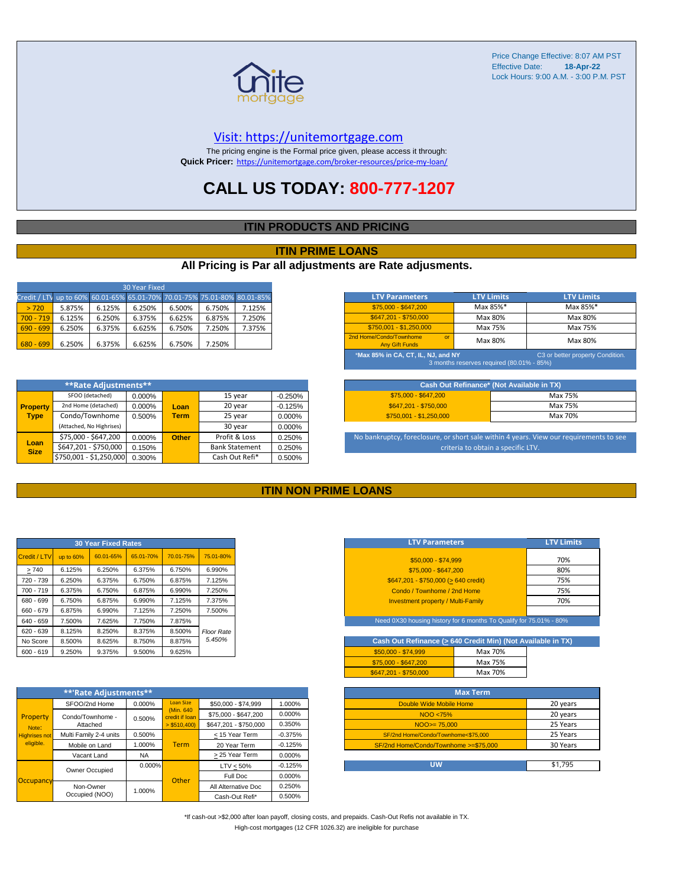

#### [V](https://unitemortgage.com/)isit: https://unitemortgage.com

The pricing engine is the Formal price given, please access it through: **Quick Pricer:** [https://un](https://unitemortgage.com/broker-resources/price-my-loan/)itemortgage.com/broker-resources/price-my-loan/

### **CALL US TODAY: 800-777-1207**

#### **ITIN PRODUCTS AND PRICING**

#### **ITIN PRIME LOANS**

#### **All Pricing is Par all adjustments are Rate adjusments.**

| 30 Year Fixed                                                            |        |        |        |        |        |        |  |
|--------------------------------------------------------------------------|--------|--------|--------|--------|--------|--------|--|
| Credit / LTV up to 60% 60.01-65% 65.01-70% 70.01-75% 75.01-80% 80.01-85% |        |        |        |        |        |        |  |
| > 720                                                                    | 5.875% | 6.125% | 6.250% | 6.500% | 6.750% | 7.125% |  |
| $700 - 719$                                                              | 6.125% | 6.250% | 6.375% | 6.625% | 6.875% | 7.250% |  |
| $690 - 699$                                                              | 6.250% | 6.375% | 6.625% | 6.750% | 7.250% | 7.375% |  |
| $680 - 699$                                                              | 6.250% | 6.375% | 6.625% | 6.750% | 7.250% |        |  |

|                     | **Rate Adjustments**                    |        |              |                       |           |
|---------------------|-----------------------------------------|--------|--------------|-----------------------|-----------|
|                     | SFOO (detached)                         | 0.000% |              | 15 year               | $-0.250%$ |
| <b>Property</b>     | 2nd Home (detached)                     | 0.000% | Loan         | 20 year               | $-0.125%$ |
| <b>Type</b>         | Condo/Townhome<br><b>Term</b><br>0.500% |        | 25 year      | 0.000%                |           |
|                     | (Attached, No Highrises)                |        |              | 30 year               | 0.000%    |
|                     | \$75,000 - \$647,200                    | 0.000% | <b>Other</b> | Profit & Loss         | 0.250%    |
| Loan<br><b>Size</b> | \$647,201 - \$750,000                   | 0.150% |              | <b>Bank Statement</b> | 0.250%    |
|                     | \$750,001 - \$1,250,000                 | 0.300% |              | Cash Out Refi*        | 0.500%    |

| <b>LTV Parameters</b>                                                                                               | <b>LTV Limits</b> | <b>LTV Limits</b> |  |  |  |  |
|---------------------------------------------------------------------------------------------------------------------|-------------------|-------------------|--|--|--|--|
| $$75,000 - $647,200$                                                                                                | Max 85%*          | Max 85%*          |  |  |  |  |
| \$647.201 - \$750.000                                                                                               | Max 80%           | Max 80%           |  |  |  |  |
| $$750,001 - $1,250,000$                                                                                             | Max 75%           | Max 75%           |  |  |  |  |
| 2nd Home/Condo/Townhome<br>$\alpha$<br><b>Any Gift Funds</b>                                                        | Max 80%           | Max 80%           |  |  |  |  |
| *Max 85% in CA, CT, IL, NJ, and NY<br>C3 or better property Condition.<br>3 months reserves required (80.01% - 85%) |                   |                   |  |  |  |  |

| Cash Out Refinance* (Not Available in TX) |         |  |  |  |  |  |
|-------------------------------------------|---------|--|--|--|--|--|
| $$75.000 - $647.200$                      | Max 75% |  |  |  |  |  |
| \$647.201 - \$750.000                     | Max 75% |  |  |  |  |  |
| $$750.001 - $1.250.000$                   | Max 70% |  |  |  |  |  |

No bankruptcy, foreclosure, or short sale within 4 years. View our requirements to see criteria to obtain a specific LTV.

#### **ITIN NON PRIME LOANS**

|              |           | <b>30 Year Fixed Rates</b> |           |           |                   |
|--------------|-----------|----------------------------|-----------|-----------|-------------------|
| Credit / LTV | up to 60% | 60.01-65%                  | 65.01-70% | 70.01-75% | 75.01-80%         |
| >740         | 6.125%    | 6.250%                     | 6.375%    | 6.750%    | 6.990%            |
| 720 - 739    | 6.250%    | 6.375%                     | 6.750%    | 6.875%    | 7.125%            |
| $700 - 719$  | 6.375%    | 6.750%                     | 6.875%    | 6.990%    | 7.250%            |
| 680 - 699    | 6.750%    | 6.875%                     | 6.990%    | 7.125%    | 7.375%            |
| 660 - 679    | 6.875%    | 6.990%                     | 7.125%    | 7.250%    | 7.500%            |
| 640 - 659    | 7.500%    | 7.625%                     | 7.750%    | 7.875%    |                   |
| 620 - 639    | 8.125%    | 8.250%                     | 8.375%    | 8.500%    | <b>Floor Rate</b> |
| No Score     | 8.500%    | 8.625%                     | 8.750%    | 8.875%    | 5.450%            |
| $600 - 619$  | 9.250%    | 9.375%                     | 9.500%    | 9.625%    |                   |

|                      | **'Rate Adjustments**  |           |                              |                       |           |
|----------------------|------------------------|-----------|------------------------------|-----------------------|-----------|
|                      | SFOO/2nd Home          | 0.000%    | <b>Loan Size</b>             | \$50,000 - \$74,999   | 1.000%    |
| Property             | Condo/Townhome -       | 0.500%    | (Min. 640)<br>credit if Ioan | \$75,000 - \$647,200  | 0.000%    |
| Note:                | Attached               |           | $>$ \$510,400)               | \$647.201 - \$750.000 | 0.350%    |
| <b>Highrises not</b> | Multi Family 2-4 units | 0.500%    |                              | < 15 Year Term        | $-0.375%$ |
| eligible.            | Mobile on Land         | 1.000%    | <b>Term</b>                  | 20 Year Term          | $-0.125%$ |
|                      | Vacant Land            | <b>NA</b> |                              | > 25 Year Term        | 0.000%    |
|                      | Owner Occupied         | $0.000\%$ |                              | $LTV < 50\%$          | $-0.125%$ |
| Occupancy            |                        |           | Other                        | Full Doc              | 0.000%    |
|                      | Non-Owner              | 1.000%    |                              | All Alternative Doc   | 0.250%    |
|                      | Occupied (NOO)         |           |                              | Cash-Out Refi*        | 0.500%    |

| <b>LTV Parameters</b>                        | <b>LTV Limits</b> |
|----------------------------------------------|-------------------|
| \$50,000 - \$74,999                          | 70%               |
| \$75,000 - \$647,200                         | 80%               |
| $$647,201 - $750,000 (> 640 \text{ credit})$ | 75%               |
| Condo / Townhome / 2nd Home                  | 75%               |
| <b>Investment property / Multi-Family</b>    | 70%               |
|                                              |                   |

Need 0X30 housing history for 6 months To Qualify for 75.01% - 80%

| Cash Out Refinance (> 640 Credit Min) (Not Available in TX) |         |  |
|-------------------------------------------------------------|---------|--|
| $$50.000 - $74.999$                                         | Max 70% |  |
| \$75,000 - \$647,200                                        | Max 75% |  |
| \$647.201 - \$750.000                                       | Max 70% |  |

| <b>Max Term</b>                       |          |
|---------------------------------------|----------|
| Double Wide Mobile Home               | 20 years |
| NOO <75%                              | 20 years |
| $NOO > = 75.000$                      | 25 Years |
| SF/2nd Home/Condo/Townhome<\$75,000   | 25 Years |
| SF/2nd Home/Condo/Townhome >=\$75,000 | 30 Years |
|                                       |          |
| บพ                                    | \$1.795  |

\*If cash-out >\$2,000 after loan payoff, closing costs, and prepaids. Cash-Out Refis not available in TX. High-cost mortgages (12 CFR 1026.32) are ineligible for purchase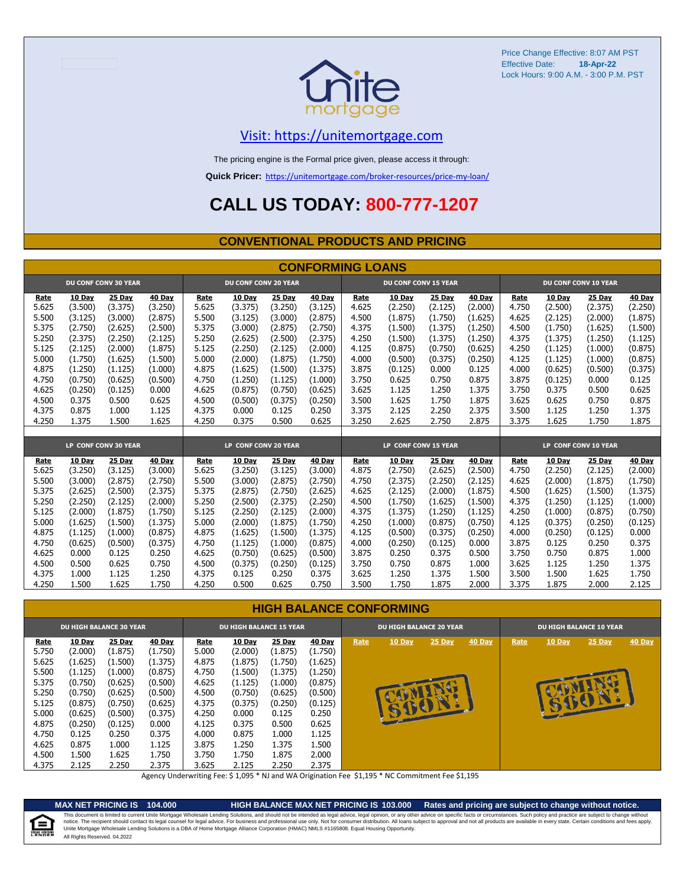

### [V](https://unitemortgage.com/)isit: https://unitemortgage.com

The pricing engine is the Formal price given, please access it through:

**Quick Pricer:** [https://un](https://unitemortgage.com/broker-resources/price-my-loan/)itemortgage.com/broker-resources/price-my-loan/

### **CALL US TODAY: 800-777-1207**

#### **CONVENTIONAL PRODUCTS AND PRICING**

|       |         |                             |         |       |                             |         | <b>CONFORMING LOANS</b> |       |                             |         |         |       |               |                             |               |
|-------|---------|-----------------------------|---------|-------|-----------------------------|---------|-------------------------|-------|-----------------------------|---------|---------|-------|---------------|-----------------------------|---------------|
|       |         | <b>DU CONF CONV 30 YEAR</b> |         |       | <b>DU CONF CONV 20 YEAR</b> |         |                         |       | <b>DU CONF CONV 15 YEAR</b> |         |         |       |               | <b>DU CONF CONV 10 YEAR</b> |               |
| Rate  | 10 Day  | 25 Day                      | 40 Day  | Rate  | 10 Day                      | 25 Day  | 40 Day                  | Rate  | 10 Day                      | 25 Day  | 40 Day  | Rate  | 10 Day        | 25 Day                      | <b>40 Day</b> |
| 5.625 | (3.500) | (3.375)                     | (3.250) | 5.625 | (3.375)                     | (3.250) | (3.125)                 | 4.625 | (2.250)                     | (2.125) | (2.000) | 4.750 | (2.500)       | (2.375)                     | (2.250)       |
| 5.500 | (3.125) | (3.000)                     | (2.875) | 5.500 | (3.125)                     | (3.000) | (2.875)                 | 4.500 | (1.875)                     | (1.750) | (1.625) | 4.625 | (2.125)       | (2.000)                     | (1.875)       |
| 5.375 | (2.750) | (2.625)                     | (2.500) | 5.375 | (3.000)                     | (2.875) | (2.750)                 | 4.375 | (1.500)                     | (1.375) | (1.250) | 4.500 | (1.750)       | (1.625)                     | (1.500)       |
| 5.250 | (2.375) | (2.250)                     | (2.125) | 5.250 | (2.625)                     | (2.500) | (2.375)                 | 4.250 | (1.500)                     | (1.375) | (1.250) | 4.375 | (1.375)       | (1.250)                     | (1.125)       |
| 5.125 | (2.125) | (2.000)                     | (1.875) | 5.125 | (2.250)                     | (2.125) | (2.000)                 | 4.125 | (0.875)                     | (0.750) | (0.625) | 4.250 | (1.125)       | (1.000)                     | (0.875)       |
| 5.000 | (1.750) | (1.625)                     | (1.500) | 5.000 | (2.000)                     | (1.875) | (1.750)                 | 4.000 | (0.500)                     | (0.375) | (0.250) | 4.125 | (1.125)       | (1.000)                     | (0.875)       |
| 4.875 | (1.250) | (1.125)                     | (1.000) | 4.875 | (1.625)                     | (1.500) | (1.375)                 | 3.875 | (0.125)                     | 0.000   | 0.125   | 4.000 | (0.625)       | (0.500)                     | (0.375)       |
| 4.750 | (0.750) | (0.625)                     | (0.500) | 4.750 | (1.250)                     | (1.125) | (1.000)                 | 3.750 | 0.625                       | 0.750   | 0.875   | 3.875 | (0.125)       | 0.000                       | 0.125         |
| 4.625 | (0.250) | (0.125)                     | 0.000   | 4.625 | (0.875)                     | (0.750) | (0.625)                 | 3.625 | 1.125                       | 1.250   | 1.375   | 3.750 | 0.375         | 0.500                       | 0.625         |
| 4.500 | 0.375   | 0.500                       | 0.625   | 4.500 | (0.500)                     | (0.375) | (0.250)                 | 3.500 | 1.625                       | 1.750   | 1.875   | 3.625 | 0.625         | 0.750                       | 0.875         |
| 4.375 | 0.875   | 1.000                       | 1.125   | 4.375 | 0.000                       | 0.125   | 0.250                   | 3.375 | 2.125                       | 2.250   | 2.375   | 3.500 | 1.125         | 1.250                       | 1.375         |
| 4.250 | 1.375   | 1.500                       | 1.625   | 4.250 | 0.375                       | 0.500   | 0.625                   | 3.250 | 2.625                       | 2.750   | 2.875   | 3.375 | 1.625         | 1.750                       | 1.875         |
|       |         |                             |         |       |                             |         |                         |       |                             |         |         |       |               |                             |               |
|       |         | LP CONF CONV 30 YEAR        |         |       | LP CONF CONV 20 YEAR        |         |                         |       | LP CONF CONV 15 YEAR        |         |         |       |               | LP CONF CONV 10 YEAR        |               |
| Rate  | 10 Day  | 25 Day                      | 40 Day  | Rate  | 10 Day                      | 25 Day  | 40 Day                  | Rate  | 10 Day                      | 25 Day  | 40 Day  | Rate  | <b>10 Day</b> | 25 Day                      | 40 Day        |
| 5.625 | (3.250) | (3.125)                     | (3.000) | 5.625 | (3.250)                     | (3.125) | (3.000)                 | 4.875 | (2.750)                     | (2.625) | (2.500) | 4.750 | (2.250)       | (2.125)                     | (2.000)       |
| 5.500 | (3.000) | (2.875)                     | (2.750) | 5.500 | (3.000)                     | (2.875) | (2.750)                 | 4.750 | (2.375)                     | (2.250) | (2.125) | 4.625 | (2.000)       | (1.875)                     | (1.750)       |
| 5.375 | (2.625) | (2.500)                     | (2.375) | 5.375 | (2.875)                     | (2.750) | (2.625)                 | 4.625 | (2.125)                     | (2.000) | (1.875) | 4.500 | (1.625)       | (1.500)                     | (1.375)       |
| 5.250 | (2.250) | (2.125)                     | (2.000) | 5.250 | (2.500)                     | (2.375) | (2.250)                 | 4.500 | (1.750)                     | (1.625) | (1.500) | 4.375 | (1.250)       | (1.125)                     | (1.000)       |
| 5.125 | (2.000) | (1.875)                     | (1.750) | 5.125 | (2.250)                     | (2.125) | (2.000)                 | 4.375 | (1.375)                     | (1.250) | (1.125) | 4.250 | (1.000)       | (0.875)                     | (0.750)       |
| 5.000 | (1.625) | (1.500)                     | (1.375) | 5.000 | (2.000)                     | (1.875) | (1.750)                 | 4.250 | (1.000)                     | (0.875) | (0.750) | 4.125 | (0.375)       | (0.250)                     | (0.125)       |
| 4.875 | (1.125) | (1.000)                     | (0.875) | 4.875 | (1.625)                     | (1.500) | (1.375)                 | 4.125 | (0.500)                     | (0.375) | (0.250) | 4.000 | (0.250)       | (0.125)                     | 0.000         |
| 4.750 | (0.625) | (0.500)                     | (0.375) | 4.750 | (1.125)                     | (1.000) | (0.875)                 | 4.000 | (0.250)                     | (0.125) | 0.000   | 3.875 | 0.125         | 0.250                       | 0.375         |
| 4.625 | 0.000   | 0.125                       | 0.250   | 4.625 | (0.750)                     | (0.625) | (0.500)                 | 3.875 | 0.250                       | 0.375   | 0.500   | 3.750 | 0.750         | 0.875                       | 1.000         |
| 4.500 | 0.500   | 0.625                       | 0.750   | 4.500 | (0.375)                     | (0.250) | (0.125)                 | 3.750 | 0.750                       | 0.875   | 1.000   | 3.625 | 1.125         | 1.250                       | 1.375         |
| 4.375 | 1.000   | 1.125                       | 1.250   | 4.375 | 0.125                       | 0.250   | 0.375                   | 3.625 | 1.250                       | 1.375   | 1.500   | 3.500 | 1.500         | 1.625                       | 1.750         |
| 4.250 | 1.500   | 1.625                       | 1.750   | 4.250 | 0.500                       | 0.625   | 0.750                   | 3.500 | 1.750                       | 1.875   | 2.000   | 3.375 | 1.875         | 2.000                       | 2.125         |

#### **HIGH BALANCE CONFORMING**

|                                                                                                                  | <b>DU HIGH BALANCE 30 YEAR</b>                                                                                                            |                                                                                                                                    |                                                                                                                                  |                                                                                                                  | <b>DU HIGH BALANCE 15 YEAR</b>                                                                                                        |                                                                                                                                |                                                                                                                                       |      | <b>DU HIGH BALANCE 20 YEAR</b> |                        |        |      |        | <b>DU HIGH BALANCE 10 YEAR</b> |               |
|------------------------------------------------------------------------------------------------------------------|-------------------------------------------------------------------------------------------------------------------------------------------|------------------------------------------------------------------------------------------------------------------------------------|----------------------------------------------------------------------------------------------------------------------------------|------------------------------------------------------------------------------------------------------------------|---------------------------------------------------------------------------------------------------------------------------------------|--------------------------------------------------------------------------------------------------------------------------------|---------------------------------------------------------------------------------------------------------------------------------------|------|--------------------------------|------------------------|--------|------|--------|--------------------------------|---------------|
| Rate<br>5.750<br>5.625<br>5.500<br>5.375<br>5.250<br>5.125<br>5.000<br>4.875<br>4.750<br>4.625<br>4.500<br>4.375 | <b>10 Day</b><br>(2.000)<br>(1.625)<br>(1.125)<br>(0.750)<br>(0.750)<br>(0.875)<br>(0.625)<br>(0.250)<br>0.125<br>0.875<br>1.500<br>2.125 | 25 Day<br>(1.875)<br>(1.500)<br>(1.000)<br>(0.625)<br>(0.625)<br>(0.750)<br>(0.500)<br>(0.125)<br>0.250<br>1.000<br>1.625<br>2.250 | 40 Day<br>(1.750)<br>(1.375)<br>(0.875)<br>(0.500)<br>(0.500)<br>(0.625)<br>(0.375)<br>0.000<br>0.375<br>1.125<br>1.750<br>2.375 | Rate<br>5.000<br>4.875<br>4.750<br>4.625<br>4.500<br>4.375<br>4.250<br>4.125<br>4.000<br>3.875<br>3.750<br>3.625 | <b>10 Day</b><br>(2.000)<br>(1.875)<br>(1.500)<br>(1.125)<br>(0.750)<br>(0.375)<br>0.000<br>0.375<br>0.875<br>1.250<br>1.750<br>2.125 | 25 Day<br>(1.875)<br>(1.750)<br>(1.375)<br>(1.000)<br>(0.625)<br>(0.250)<br>0.125<br>0.500<br>1.000<br>1.375<br>1.875<br>2.250 | <b>40 Day</b><br>(1.750)<br>(1.625)<br>(1.250)<br>(0.875)<br>(0.500)<br>(0.125)<br>0.250<br>0.625<br>1.125<br>1.500<br>2.000<br>2.375 | Rate | 10 Day                         | 25 Day<br><b>SPEAR</b> | 40 Day | Rate | 10 Day | 25 Day                         | <b>40 Day</b> |

Agency Underwriting Fee: \$ 1,095 \* NJ and WA Origination Fee \$1,195 \* NC Commitment Fee \$1,195

e

**MAX NET PRICING IS 104.000 HIGH BALANCE MAX NET PRICING IS 103.000 Rates and pricing are subject to change without notice.** All Rights Reserved. 04.2022 This document is limited to current Unite Mortgage Wholesale Lending Solutions, and should not be intended as legal advice, legal opinion, or any other advice on specific facts or circumstances. Such policy and practice ar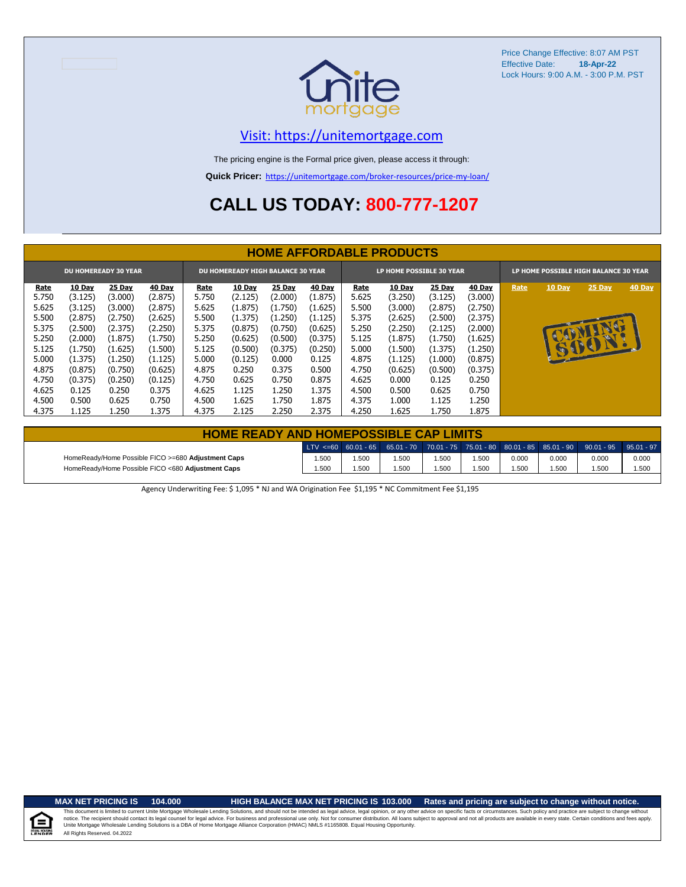

### [V](https://unitemortgage.com/)isit: https://unitemortgage.com

The pricing engine is the Formal price given, please access it through:

**Quick Pricer:** [https://un](https://unitemortgage.com/broker-resources/price-my-loan/)itemortgage.com/broker-resources/price-my-loan/

## **CALL US TODAY: 800-777-1207**

|             |         |                             |         |       |                                   |         |               |       | <b>HOME AFFORDABLE PRODUCTS</b> |               |               |      |                                       |        |        |
|-------------|---------|-----------------------------|---------|-------|-----------------------------------|---------|---------------|-------|---------------------------------|---------------|---------------|------|---------------------------------------|--------|--------|
|             |         | <b>DU HOMEREADY 30 YEAR</b> |         |       | DU HOMEREADY HIGH BALANCE 30 YEAR |         |               |       | LP HOME POSSIBLE 30 YEAR        |               |               |      | LP HOME POSSIBLE HIGH BALANCE 30 YEAR |        |        |
| <b>Rate</b> | 10 Day  | 25 Day                      | 40 Day  | Rate  | <b>10 Day</b>                     | 25 Day  | <b>40 Day</b> | Rate  | 10 Day                          | <b>25 Day</b> | <b>40 Day</b> | Rate | 10 Day                                | 25 Day | 40 Day |
| 5.750       | (3.125) | (3.000)                     | (2.875) | 5.750 | (2.125)                           | (2.000) | (1.875)       | 5.625 | (3.250)                         | (3.125)       | (3.000)       |      |                                       |        |        |
| 5.625       | (3.125) | (3.000)                     | (2.875) | 5.625 | (1.875)                           | (1.750) | (1.625)       | 5.500 | (3.000)                         | (2.875)       | (2.750)       |      |                                       |        |        |
| 5.500       | (2.875) | (2.750)                     | (2.625) | 5.500 | (1.375)                           | (1.250) | (1.125)       | 5.375 | (2.625)                         | (2.500)       | (2.375)       |      |                                       |        |        |
| 5.375       | (2.500) | (2.375)                     | (2.250) | 5.375 | (0.875)                           | (0.750) | (0.625)       | 5.250 | (2.250)                         | (2.125)       | (2.000)       |      |                                       | G      |        |
| 5.250       | (2.000) | (1.875)                     | (1.750) | 5.250 | (0.625)                           | (0.500) | (0.375)       | 5.125 | (1.875)                         | (1.750)       | (1.625)       |      |                                       |        |        |
| 5.125       | (1.750) | (1.625)                     | (1.500) | 5.125 | (0.500)                           | (0.375) | (0.250)       | 5.000 | (1.500)                         | (1.375)       | (1.250)       |      |                                       | SIEDI  |        |
| 5.000       | (1.375) | (1.250)                     | (1.125) | 5.000 | (0.125)                           | 0.000   | 0.125         | 4.875 | (1.125)                         | (1.000)       | (0.875)       |      |                                       |        |        |
| 4.875       | (0.875) | (0.750)                     | (0.625) | 4.875 | 0.250                             | 0.375   | 0.500         | 4.750 | (0.625)                         | (0.500)       | (0.375)       |      |                                       |        |        |
| 4.750       | (0.375) | (0.250)                     | (0.125) | 4.750 | 0.625                             | 0.750   | 0.875         | 4.625 | 0.000                           | 0.125         | 0.250         |      |                                       |        |        |
| 4.625       | 0.125   | 0.250                       | 0.375   | 4.625 | 1.125                             | 1.250   | 1.375         | 4.500 | 0.500                           | 0.625         | 0.750         |      |                                       |        |        |
| 4.500       | 0.500   | 0.625                       | 0.750   | 4.500 | 1.625                             | 1.750   | 1.875         | 4.375 | 1.000                           | 1.125         | 1.250         |      |                                       |        |        |
| 4.375       | 1.125   | 1.250                       | 1.375   | 4.375 | 2.125                             | 2.250   | 2.375         | 4.250 | 1.625                           | 1.750         | 1.875         |      |                                       |        |        |

| <b>HOME READY AND HOMEPOSSIBLE CAP LIMITS</b>      |       |      |       |       |      |       |       |                                                                                                  |       |
|----------------------------------------------------|-------|------|-------|-------|------|-------|-------|--------------------------------------------------------------------------------------------------|-------|
|                                                    |       |      |       |       |      |       |       | LTV <=60 60.01 - 65 65.01 - 70 70.01 - 75 75.01 - 80 80.01 - 85 85.01 - 90 90.01 - 95 95.01 - 97 |       |
| HomeReady/Home Possible FICO >=680 Adjustment Caps | 1.500 | .500 | 1.500 | 1.500 | .500 | 0.000 | 0.000 | 0.000                                                                                            | 0.000 |
| HomeReady/Home Possible FICO <680 Adjustment Caps  | 1.500 | .500 | 1.500 | 1.500 | .500 | .500  | 1.500 | .500                                                                                             | 1.500 |

Agency Underwriting Fee: \$ 1,095 \* NJ and WA Origination Fee \$1,195 \* NC Commitment Fee \$1,195

**MAX NET PRICING IS 104.000 HIGH BALANCE MAX NET PRICING IS 103.000 Rates and pricing are subject to change without notice.**

All Rights Reserved. 04.2022 This document is limited to current Unite Mortgage Wholesale Lending Solutions, and should not be intended as legal advice, legal opinion, or any other advice on specific facts or circumstances. Such policy and practice ar

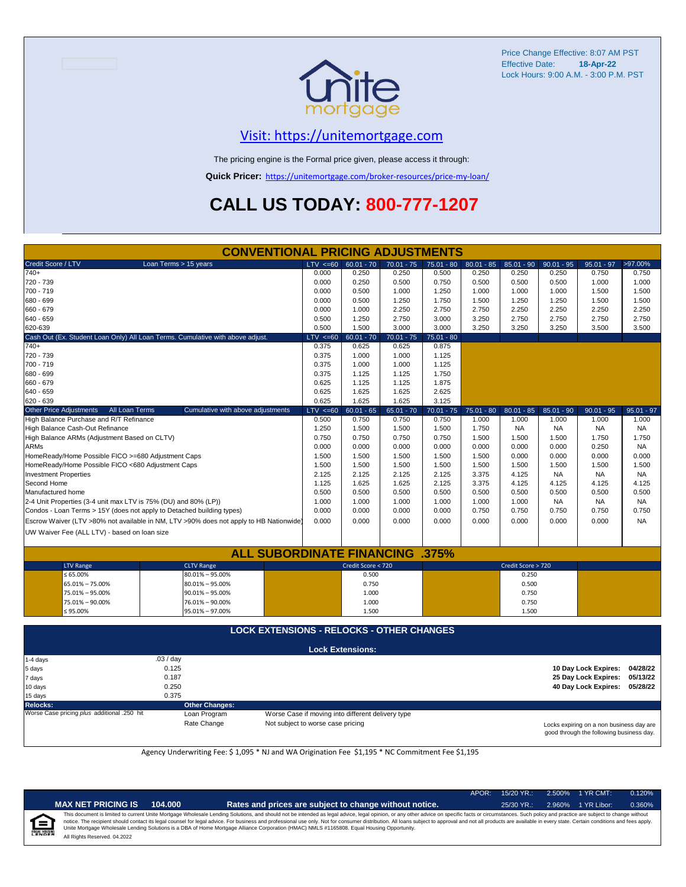

### [V](https://unitemortgage.com/)isit: https://unitemortgage.com

The pricing engine is the Formal price given, please access it through:

**Quick Pricer:** [https://un](https://unitemortgage.com/broker-resources/price-my-loan/)itemortgage.com/broker-resources/price-my-loan/

## **CALL US TODAY: 800-777-1207**

|                                |                                                    | <b>CONVENTIONAL PRICING ADJUSTMENTS</b>                                                |              |                         |              |              |              |                    |              |                      |              |
|--------------------------------|----------------------------------------------------|----------------------------------------------------------------------------------------|--------------|-------------------------|--------------|--------------|--------------|--------------------|--------------|----------------------|--------------|
| Credit Score / LTV             |                                                    | Loan Terms > 15 years                                                                  | $LTV \le 60$ | $60.01 - 70$            | $70.01 - 75$ | $75.01 - 80$ | $80.01 - 85$ | $85.01 - 90$       | $90.01 - 95$ | $95.01 - 97$         | >97.00%      |
| $740+$                         |                                                    |                                                                                        | 0.000        | 0.250                   | 0.250        | 0.500        | 0.250        | 0.250              | 0.250        | 0.750                | 0.750        |
| 720 - 739                      |                                                    |                                                                                        | 0.000        | 0.250                   | 0.500        | 0.750        | 0.500        | 0.500              | 0.500        | 1.000                | 1.000        |
| 700 - 719                      |                                                    |                                                                                        | 0.000        | 0.500                   | 1.000        | 1.250        | 1.000        | 1.000              | 1.000        | 1.500                | 1.500        |
| 680 - 699                      |                                                    |                                                                                        | 0.000        | 0.500                   | 1.250        | 1.750        | 1.500        | 1.250              | 1.250        | 1.500                | 1.500        |
| 660 - 679                      |                                                    |                                                                                        | 0.000        | 1.000                   | 2.250        | 2.750        | 2.750        | 2.250              | 2.250        | 2.250                | 2.250        |
| 640 - 659                      |                                                    |                                                                                        | 0.500        | 1.250                   | 2.750        | 3.000        | 3.250        | 2.750              | 2.750        | 2.750                | 2.750        |
| 620-639                        |                                                    |                                                                                        | 0.500        | 1.500                   | 3.000        | 3.000        | 3.250        | 3.250              | 3.250        | 3.500                | 3.500        |
|                                |                                                    | Cash Out (Ex. Student Loan Only) All Loan Terms. Cumulative with above adjust.         | LTV < 60     | $60.01 - 70$            | $70.01 - 75$ | $75.01 - 80$ |              |                    |              |                      |              |
| $740+$                         |                                                    |                                                                                        | 0.375        | 0.625                   | 0.625        | 0.875        |              |                    |              |                      |              |
| 720 - 739                      |                                                    |                                                                                        | 0.375        | 1.000                   | 1.000        | 1.125        |              |                    |              |                      |              |
| 700 - 719                      |                                                    |                                                                                        | 0.375        | 1.000                   | 1.000        | 1.125        |              |                    |              |                      |              |
| 680 - 699                      |                                                    |                                                                                        | 0.375        | 1.125                   | 1.125        | 1.750        |              |                    |              |                      |              |
| 660 - 679                      |                                                    |                                                                                        | 0.625        | 1.125                   | 1.125        | 1.875        |              |                    |              |                      |              |
| 640 - 659                      |                                                    |                                                                                        | 0.625        | 1.625                   | 1.625        | 2.625        |              |                    |              |                      |              |
| 620 - 639                      |                                                    |                                                                                        | 0.625        | 1.625                   | 1.625        | 3.125        |              |                    |              |                      |              |
| <b>Other Price Adjustments</b> | All Loan Terms                                     | Cumulative with above adjustments                                                      | $LTV < =60$  | $60.01 - 65$            | $65.01 - 70$ | $70.01 - 75$ | $75.01 - 80$ | $80.01 - 85$       | $85.01 - 90$ | $90.01 - 95$         | $95.01 - 97$ |
|                                | High Balance Purchase and R/T Refinance            |                                                                                        | 0.500        | 0.750                   | 0.750        | 0.750        | 1.000        | 1.000              | 1.000        | 1.000                | 1.000        |
|                                | High Balance Cash-Out Refinance                    |                                                                                        | 1.250        | 1.500                   | 1.500        | 1.500        | 1.750        | <b>NA</b>          | <b>NA</b>    | <b>NA</b>            | <b>NA</b>    |
|                                | High Balance ARMs (Adjustment Based on CLTV)       |                                                                                        | 0.750        | 0.750                   | 0.750        | 0.750        | 1.500        | 1.500              | 1.500        | 1.750                | 1.750        |
| <b>ARMs</b>                    |                                                    |                                                                                        | 0.000        | 0.000                   | 0.000        | 0.000        | 0.000        | 0.000              | 0.000        | 0.250                | <b>NA</b>    |
|                                | HomeReady/Home Possible FICO >=680 Adjustment Caps |                                                                                        | 1.500        | 1.500                   | 1.500        | 1.500        | 1.500        | 0.000              | 0.000        | 0.000                | 0.000        |
|                                | HomeReady/Home Possible FICO <680 Adjustment Caps  |                                                                                        | 1.500        | 1.500                   | 1.500        | 1.500        | 1.500        | 1.500              | 1.500        | 1.500                | 1.500        |
| <b>Investment Properties</b>   |                                                    |                                                                                        | 2.125        | 2.125                   | 2.125        | 2.125        | 3.375        | 4.125              | <b>NA</b>    | <b>NA</b>            | <b>NA</b>    |
| Second Home                    |                                                    |                                                                                        | 1.125        | 1.625                   | 1.625        | 2.125        | 3.375        | 4.125              | 4.125        | 4.125                | 4.125        |
| Manufactured home              |                                                    |                                                                                        | 0.500        | 0.500                   | 0.500        | 0.500        | 0.500        | 0.500              | 0.500        | 0.500                | 0.500        |
|                                |                                                    | 2-4 Unit Properties (3-4 unit max LTV is 75% (DU) and 80% (LP))                        | 1.000        | 1.000                   | 1.000        | 1.000        | 1.000        | 1.000              | NA.          | NA                   | NA           |
|                                |                                                    | Condos - Loan Terms > 15Y (does not apply to Detached building types)                  | 0.000        | 0.000                   | 0.000        | 0.000        | 0.750        | 0.750              | 0.750        | 0.750                | 0.750        |
|                                |                                                    | Escrow Waiver (LTV >80% not available in NM, LTV >90% does not apply to HB Nationwide) | 0.000        | 0.000                   | 0.000        | 0.000        | 0.000        | 0.000              | 0.000        | 0.000                | <b>NA</b>    |
|                                | UW Waiver Fee (ALL LTV) - based on loan size       |                                                                                        |              |                         |              |              |              |                    |              |                      |              |
|                                |                                                    |                                                                                        |              |                         |              |              |              |                    |              |                      |              |
|                                |                                                    | <b>ALL SUBORDINATE FINANCING</b>                                                       |              |                         |              | .375%        |              |                    |              |                      |              |
|                                | <b>LTV Range</b>                                   | <b>CLTV Range</b>                                                                      |              | Credit Score < 720      |              |              |              | Credit Score > 720 |              |                      |              |
|                                | $\leq 65.00\%$                                     | $80.01\% - 95.00\%$                                                                    |              | 0.500                   |              |              |              | 0.250              |              |                      |              |
|                                | 65.01% - 75.00%                                    | $80.01\% - 95.00\%$                                                                    |              | 0.750                   |              |              |              | 0.500              |              |                      |              |
|                                | 75.01% - 95.00%                                    | $90.01\% - 95.00\%$                                                                    |              | 1.000                   |              |              |              | 0.750              |              |                      |              |
|                                | 75.01% - 90.00%                                    | 76.01% - 90.00%                                                                        |              | 1.000                   |              |              |              | 0.750              |              |                      |              |
|                                | ≤ 95.00%                                           | 95.01% - 97.00%                                                                        |              | 1.500                   |              |              |              | 1.500              |              |                      |              |
|                                |                                                    | <b>LOCK EXTENSIONS - RELOCKS - OTHER CHANGES</b>                                       |              |                         |              |              |              |                    |              |                      |              |
|                                |                                                    |                                                                                        |              |                         |              |              |              |                    |              |                      |              |
|                                |                                                    |                                                                                        |              | <b>Lock Extensions:</b> |              |              |              |                    |              |                      |              |
| 1-4 days                       |                                                    | .03/day                                                                                |              |                         |              |              |              |                    |              |                      |              |
| 5 days                         |                                                    | 0.125                                                                                  |              |                         |              |              |              |                    |              | 10 Day Lock Expires: | 04/28/22     |
| 7 days                         |                                                    | 0.187                                                                                  |              |                         |              |              |              |                    |              | 25 Day Lock Expires: | 05/13/22     |
| 10 days                        |                                                    | 0.250                                                                                  |              |                         |              |              |              |                    |              | 40 Day Lock Expires: | 05/28/22     |
| 15 days                        |                                                    | 0.375                                                                                  |              |                         |              |              |              |                    |              |                      |              |

**Relocks: Other Changes:**

Loan Program *Program* Worse Case if moving into different delivery type Rate Change **Not** subject to worse case pricing Not subject to worse case pricing

Locks expiring on a non business day are good through the following business day.

Agency Underwriting Fee: \$ 1,095 \* NJ and WA Origination Fee \$1,195 \* NC Commitment Fee \$1,195

| MAX NE                  |
|-------------------------|
| This docur              |
| notice. The             |
| $1.1 - 1.1 - 0.0 - 0.0$ |

**EQUAL HOUSING** 

|--|

**F PRICING IS 104.000 Rates and prices are subject to change without notice.** 25/30 YR.: 2.960% 1 YR Libor: 0.360%

APOR: 15/20 YR.: 2.500% 1 YR CMT: 0.120%

All Rights Reserved. 04.2022 This document is limited to current Unite Mortgage Wholesale Lending Solutions, and should not be intended as legal advice, legal opinion, or any other advice on specific facts or circumstances. Such policy and practice ar